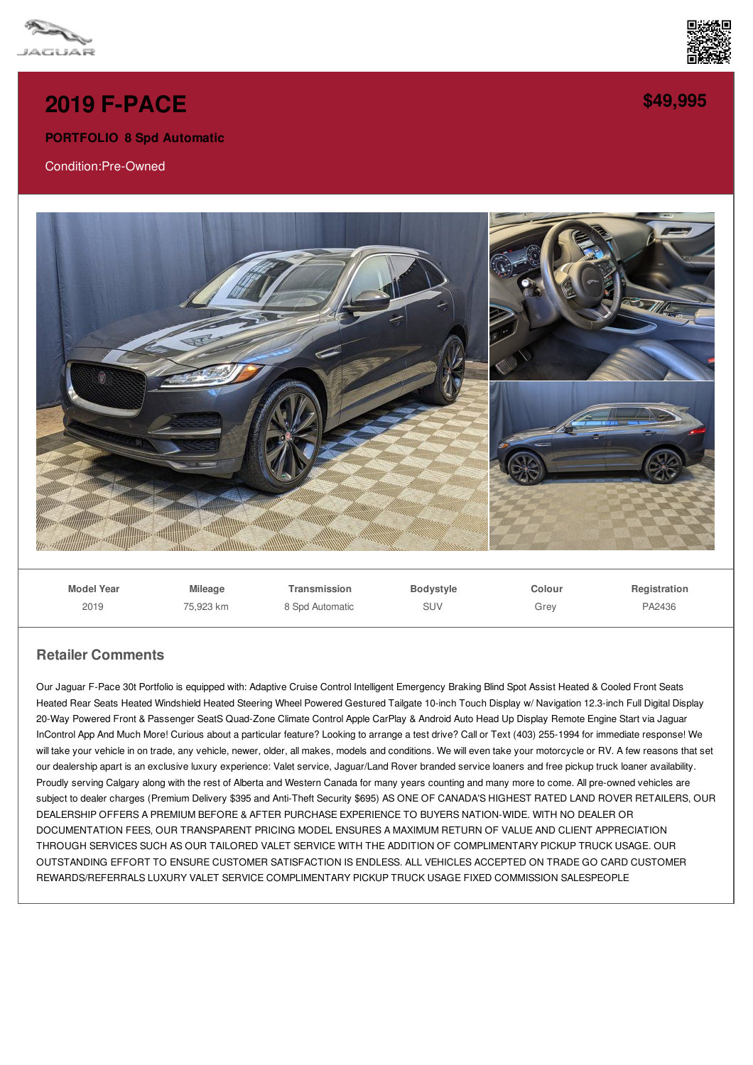



## **2019 [F-PACE](/used-certified/pdf/)**

**PORTFOLIO 8 Spd Automatic**

Condition:Pre-Owned



| <b>Model Year</b> | <b>Mileage</b> | Transmission    | <b>Bodystyle</b> | Colour | Registration |
|-------------------|----------------|-----------------|------------------|--------|--------------|
| 2019              | 75.923 km      | 8 Spd Automatic | SUV              | Grev   | PA2436       |

## **Retailer Comments**

Our Jaguar F-Pace 30t Portfolio is equipped with: Adaptive Cruise Control Intelligent Emergency Braking Blind Spot Assist Heated & Cooled Front Seats Heated Rear Seats Heated Windshield Heated Steering Wheel Powered Gestured Tailgate 10-inch Touch Display w/ Navigation 12.3-inch Full Digital Display 20-Way Powered Front & Passenger SeatS Quad-Zone Climate Control Apple CarPlay & Android Auto Head Up Display Remote Engine Start via Jaguar InControl App And Much More! Curious about a particular feature? Looking to arrange a test drive? Call or Text (403) 255-1994 for immediate response! We will take your vehicle in on trade, any vehicle, newer, older, all makes, models and conditions. We will even take your motorcycle or RV. A few reasons that set our dealership apart is an exclusive luxury experience: Valet service, Jaguar/Land Rover branded service loaners and free pickup truck loaner availability. Proudly serving Calgary along with the rest of Alberta and Western Canada for many years counting and many more to come. All pre-owned vehicles are subject to dealer charges (Premium Delivery \$395 and Anti-Theft Security \$695) AS ONE OF CANADA'S HIGHEST RATED LAND ROVER RETAILERS, OUR DEALERSHIP OFFERS A PREMIUM BEFORE & AFTER PURCHASE EXPERIENCE TO BUYERS NATION-WIDE. WITH NO DEALER OR DOCUMENTATION FEES, OUR TRANSPARENT PRICING MODEL ENSURES A MAXIMUM RETURN OF VALUE AND CLIENT APPRECIATION THROUGH SERVICES SUCH AS OUR TAILORED VALET SERVICE WITH THE ADDITION OF COMPLIMENTARY PICKUP TRUCK USAGE. OUR OUTSTANDING EFFORT TO ENSURE CUSTOMER SATISFACTION IS ENDLESS. ALL VEHICLES ACCEPTED ON TRADE GO CARD CUSTOMER REWARDS/REFERRALS LUXURY VALET SERVICE COMPLIMENTARY PICKUP TRUCK USAGE FIXED COMMISSION SALESPEOPLE

**[\\$49,995](/used-certified/pdf/)**